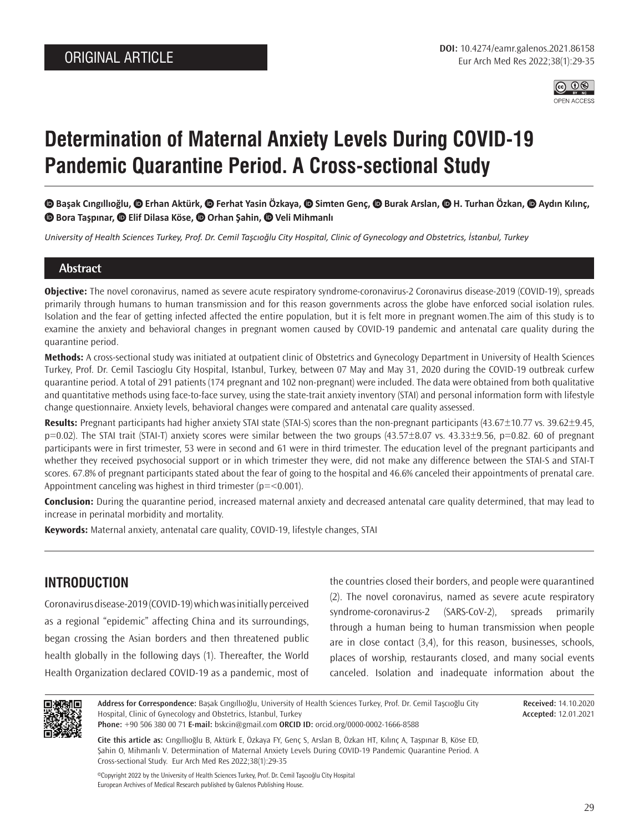

# **Determination of Maternal Anxiety Levels During COVID-19 Pandemic Quarantine Period. A Cross-sectional Study**

 **Başak Cıngıllıoğlu,Erhan Aktürk,Ferhat Yasin Özkaya, Simten Genç, Burak Arslan, H. Turhan Özkan, Aydın Kılınç,**   $\bullet$ **Bora Taşpınar,**  $\bullet$  **Elif Dilasa Köse,**  $\bullet$  **Orhan Şahin,**  $\bullet$  **Veli Mihmanlı** 

*University of Health Sciences Turkey, Prof. Dr. Cemil Taşcıoğlu City Hospital, Clinic of Gynecology and Obstetrics, İstanbul, Turkey*

#### **Abstract**

**Objective:** The novel coronavirus, named as severe acute respiratory syndrome-coronavirus-2 Coronavirus disease-2019 (COVID-19), spreads primarily through humans to human transmission and for this reason governments across the globe have enforced social isolation rules. Isolation and the fear of getting infected affected the entire population, but it is felt more in pregnant women.The aim of this study is to examine the anxiety and behavioral changes in pregnant women caused by COVID-19 pandemic and antenatal care quality during the quarantine period.

**Methods:** A cross-sectional study was initiated at outpatient clinic of Obstetrics and Gynecology Department in University of Health Sciences Turkey, Prof. Dr. Cemil Tascioglu City Hospital, Istanbul, Turkey, between 07 May and May 31, 2020 during the COVID-19 outbreak curfew quarantine period. A total of 291 patients (174 pregnant and 102 non-pregnant) were included. The data were obtained from both qualitative and quantitative methods using face-to-face survey, using the state-trait anxiety inventory (STAI) and personal information form with lifestyle change questionnaire. Anxiety levels, behavioral changes were compared and antenatal care quality assessed.

Results: Pregnant participants had higher anxiety STAI state (STAI-S) scores than the non-pregnant participants (43.67±10.77 vs. 39.62±9.45, p=0.02). The STAI trait (STAI-T) anxiety scores were similar between the two groups (43.57±8.07 vs. 43.33±9.56, p=0.82. 60 of pregnant participants were in first trimester, 53 were in second and 61 were in third trimester. The education level of the pregnant participants and whether they received psychosocial support or in which trimester they were, did not make any difference between the STAI-S and STAI-T scores. 67.8% of pregnant participants stated about the fear of going to the hospital and 46.6% canceled their appointments of prenatal care. Appointment canceling was highest in third trimester  $(p=<0.001)$ .

**Conclusion:** During the quarantine period, increased maternal anxiety and decreased antenatal care quality determined, that may lead to increase in perinatal morbidity and mortality.

**Keywords:** Maternal anxiety, antenatal care quality, COVID-19, lifestyle changes, STAI

# **INTRODUCTION**

Coronavirus disease-2019 (COVID-19) which was initially perceived as a regional "epidemic" affecting China and its surroundings, began crossing the Asian borders and then threatened public health globally in the following days (1). Thereafter, the World Health Organization declared COVID-19 as a pandemic, most of

the countries closed their borders, and people were quarantined (2). The novel coronavirus, named as severe acute respiratory syndrome-coronavirus-2 (SARS-CoV-2), spreads primarily through a human being to human transmission when people are in close contact (3,4), for this reason, businesses, schools, places of worship, restaurants closed, and many social events canceled. Isolation and inadequate information about the



**Address for Correspondence:** Başak Cıngıllıoğlu, University of Health Sciences Turkey, Prof. Dr. Cemil Taşcıoğlu City Hospital, Clinic of Gynecology and Obstetrics, İstanbul, Turkey **Phone:** +90 506 380 00 71 **E-mail:** bskcin@gmail.com **ORCID ID:** orcid.org/0000-0002-1666-8588

**Received:** 14.10.2020 **Accepted:** 12.01.2021

**Cite this article as:** Cıngıllıoğlu B, Aktürk E, Özkaya FY, Genç S, Arslan B, Özkan HT, Kılınç A, Taşpınar B, Köse ED,

Şahin O, Mihmanlı V. Determination of Maternal Anxiety Levels During COVID-19 Pandemic Quarantine Period. A Cross-sectional Study. Eur Arch Med Res 2022;38(1):29-35

©Copyright 2022 by the University of Health Sciences Turkey, Prof. Dr. Cemil Taşcıoğlu City Hospital European Archives of Medical Research published by Galenos Publishing House.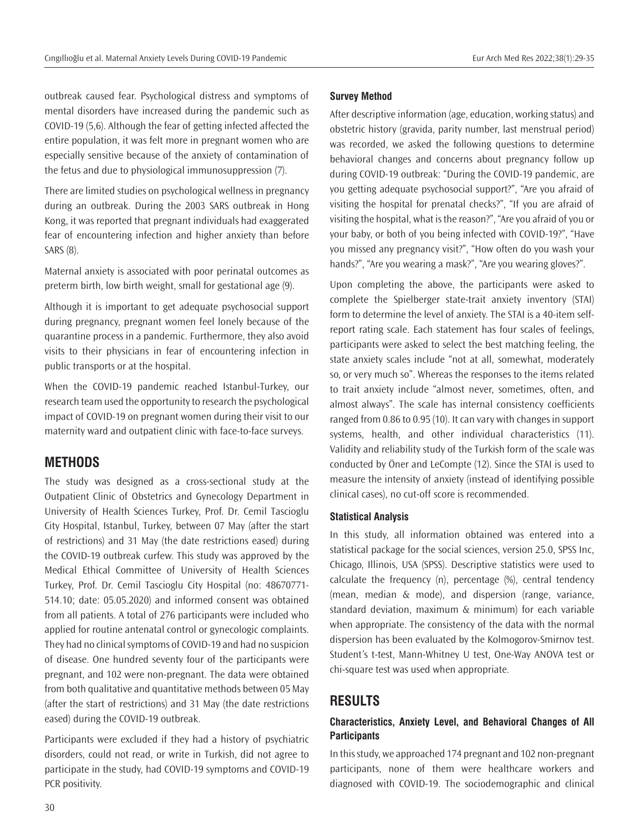outbreak caused fear. Psychological distress and symptoms of mental disorders have increased during the pandemic such as COVID-19 (5,6). Although the fear of getting infected affected the entire population, it was felt more in pregnant women who are especially sensitive because of the anxiety of contamination of the fetus and due to physiological immunosuppression (7).

There are limited studies on psychological wellness in pregnancy during an outbreak. During the 2003 SARS outbreak in Hong Kong, it was reported that pregnant individuals had exaggerated fear of encountering infection and higher anxiety than before SARS (8).

Maternal anxiety is associated with poor perinatal outcomes as preterm birth, low birth weight, small for gestational age (9).

Although it is important to get adequate psychosocial support during pregnancy, pregnant women feel lonely because of the quarantine process in a pandemic. Furthermore, they also avoid visits to their physicians in fear of encountering infection in public transports or at the hospital.

When the COVID-19 pandemic reached Istanbul-Turkey, our research team used the opportunity to research the psychological impact of COVID-19 on pregnant women during their visit to our maternity ward and outpatient clinic with face-to-face surveys.

## **METHODS**

The study was designed as a cross-sectional study at the Outpatient Clinic of Obstetrics and Gynecology Department in University of Health Sciences Turkey, Prof. Dr. Cemil Tascioglu City Hospital, Istanbul, Turkey, between 07 May (after the start of restrictions) and 31 May (the date restrictions eased) during the COVID-19 outbreak curfew. This study was approved by the Medical Ethical Committee of University of Health Sciences Turkey, Prof. Dr. Cemil Tascioglu City Hospital (no: 48670771- 514.10; date: 05.05.2020) and informed consent was obtained from all patients. A total of 276 participants were included who applied for routine antenatal control or gynecologic complaints. They had no clinical symptoms of COVID-19 and had no suspicion of disease. One hundred seventy four of the participants were pregnant, and 102 were non-pregnant. The data were obtained from both qualitative and quantitative methods between 05 May (after the start of restrictions) and 31 May (the date restrictions eased) during the COVID-19 outbreak.

Participants were excluded if they had a history of psychiatric disorders, could not read, or write in Turkish, did not agree to participate in the study, had COVID-19 symptoms and COVID-19 PCR positivity.

#### **Survey Method**

After descriptive information (age, education, working status) and obstetric history (gravida, parity number, last menstrual period) was recorded, we asked the following questions to determine behavioral changes and concerns about pregnancy follow up during COVID-19 outbreak: "During the COVID-19 pandemic, are you getting adequate psychosocial support?", "Are you afraid of visiting the hospital for prenatal checks?", "If you are afraid of visiting the hospital, what is the reason?", "Are you afraid of you or your baby, or both of you being infected with COVID-19?", "Have you missed any pregnancy visit?", "How often do you wash your hands?", "Are you wearing a mask?", "Are you wearing gloves?".

Upon completing the above, the participants were asked to complete the Spielberger state-trait anxiety inventory (STAI) form to determine the level of anxiety. The STAI is a 40-item selfreport rating scale. Each statement has four scales of feelings, participants were asked to select the best matching feeling, the state anxiety scales include "not at all, somewhat, moderately so, or very much so". Whereas the responses to the items related to trait anxiety include "almost never, sometimes, often, and almost always". The scale has internal consistency coefficients ranged from 0.86 to 0.95 (10). It can vary with changes in support systems, health, and other individual characteristics (11). Validity and reliability study of the Turkish form of the scale was conducted by Öner and LeCompte (12). Since the STAI is used to measure the intensity of anxiety (instead of identifying possible clinical cases), no cut-off score is recommended.

#### **Statistical Analysis**

In this study, all information obtained was entered into a statistical package for the social sciences, version 25.0, SPSS Inc, Chicago, Illinois, USA (SPSS). Descriptive statistics were used to calculate the frequency (n), percentage (%), central tendency (mean, median & mode), and dispersion (range, variance, standard deviation, maximum & minimum) for each variable when appropriate. The consistency of the data with the normal dispersion has been evaluated by the Kolmogorov-Smirnov test. Student's t-test, Mann-Whitney U test, One-Way ANOVA test or chi-square test was used when appropriate.

## **RESULTS**

## **Characteristics, Anxiety Level, and Behavioral Changes of All Participants**

In this study, we approached 174 pregnant and 102 non-pregnant participants, none of them were healthcare workers and diagnosed with COVID-19. The sociodemographic and clinical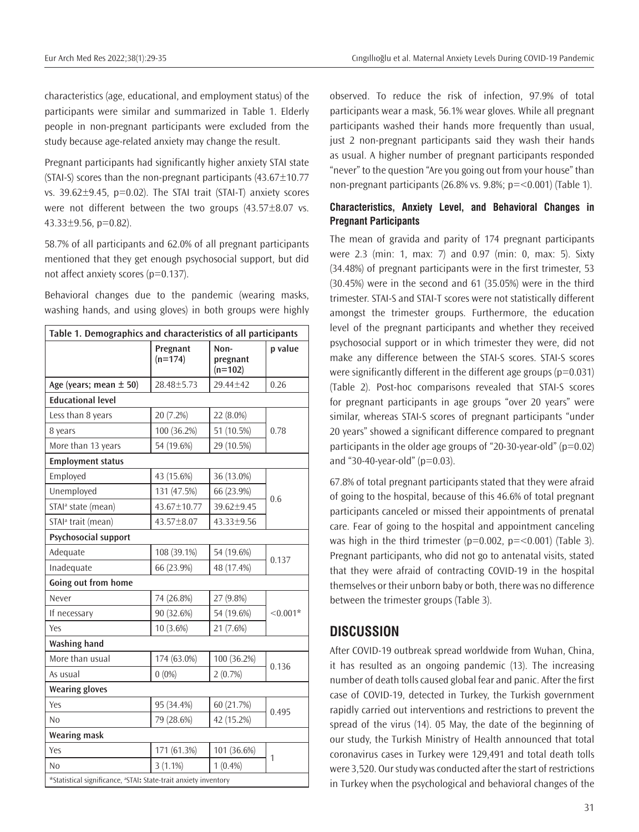characteristics (age, educational, and employment status) of the participants were similar and summarized in Table 1. Elderly people in non-pregnant participants were excluded from the study because age-related anxiety may change the result.

Pregnant participants had significantly higher anxiety STAI state (STAI-S) scores than the non-pregnant participants  $(43.67 \pm 10.77)$ vs.  $39.62 \pm 9.45$ ,  $p=0.02$ ). The STAI trait (STAI-T) anxiety scores were not different between the two groups  $(43.57 \pm 8.07)$  vs. 43.33±9.56, p=0.82).

58.7% of all participants and 62.0% of all pregnant participants mentioned that they get enough psychosocial support, but did not affect anxiety scores (p=0.137).

Behavioral changes due to the pandemic (wearing masks, washing hands, and using gloves) in both groups were highly

| Table 1. Demographics and characteristics of all participants               |                       |                               |            |  |  |  |
|-----------------------------------------------------------------------------|-----------------------|-------------------------------|------------|--|--|--|
|                                                                             | Pregnant<br>$(n=174)$ | Non-<br>pregnant<br>$(n=102)$ | p value    |  |  |  |
| Age (years; mean $\pm$ 50)                                                  | 28.48±5.73            | 29.44±42                      | 0.26       |  |  |  |
| <b>Educational level</b>                                                    |                       |                               |            |  |  |  |
| Less than 8 years                                                           | 20 (7.2%)             | $22(8.0\%)$                   |            |  |  |  |
| 8 years                                                                     | 100 (36.2%)           | 51 (10.5%)                    | 0.78       |  |  |  |
| More than 13 years                                                          | 54 (19.6%)            | 29 (10.5%)                    |            |  |  |  |
| <b>Employment status</b>                                                    |                       |                               |            |  |  |  |
| Employed                                                                    | 43 (15.6%)            | 36 (13.0%)                    |            |  |  |  |
| Unemployed                                                                  | 131 (47.5%)           | 66 (23.9%)                    |            |  |  |  |
| STAI <sup>a</sup> state (mean)                                              | 43.67±10.77           | 39.62±9.45                    | 0.6        |  |  |  |
| STAI <sup>ª</sup> trait (mean)                                              | 43.57±8.07            | 43.33±9.56                    |            |  |  |  |
| Psychosocial support                                                        |                       |                               |            |  |  |  |
| Adequate                                                                    | 108 (39.1%)           | 54 (19.6%)                    | 0.137      |  |  |  |
| Inadequate                                                                  | 66 (23.9%)            | 48 (17.4%)                    |            |  |  |  |
| Going out from home                                                         |                       |                               |            |  |  |  |
| Never                                                                       | 74 (26.8%)            | 27 (9.8%)                     |            |  |  |  |
| If necessary                                                                | 90 (32.6%)            | 54 (19.6%)                    | $< 0.001*$ |  |  |  |
| Yes                                                                         | 10 (3.6%)             | 21 (7.6%)                     |            |  |  |  |
| <b>Washing hand</b>                                                         |                       |                               |            |  |  |  |
| More than usual                                                             | 174 (63.0%)           | 100 (36.2%)                   |            |  |  |  |
| As usual                                                                    | $0(0\%)$              | 2(0.7%)                       | 0.136      |  |  |  |
| <b>Wearing gloves</b>                                                       |                       |                               |            |  |  |  |
| Yes                                                                         | 95 (34.4%)            | 60 (21.7%)                    |            |  |  |  |
| No                                                                          | 79 (28.6%)            | 42 (15.2%)                    | 0.495      |  |  |  |
| Wearing mask                                                                |                       |                               |            |  |  |  |
| Yes                                                                         | 171 (61.3%)           | 101 (36.6%)                   | 1          |  |  |  |
| No                                                                          | $3(1.1\%)$            | $1(0.4\%)$                    |            |  |  |  |
| *Statistical significance, <sup>a</sup> STAI: State-trait anxiety inventory |                       |                               |            |  |  |  |

observed. To reduce the risk of infection, 97.9% of total participants wear a mask, 56.1% wear gloves. While all pregnant participants washed their hands more frequently than usual, just 2 non-pregnant participants said they wash their hands as usual. A higher number of pregnant participants responded "never" to the question "Are you going out from your house" than non-pregnant participants (26.8% vs. 9.8%;  $p = 0.001$ ) (Table 1).

## **Characteristics, Anxiety Level, and Behavioral Changes in Pregnant Participants**

The mean of gravida and parity of 174 pregnant participants were 2.3 (min: 1, max: 7) and 0.97 (min: 0, max: 5). Sixty (34.48%) of pregnant participants were in the first trimester, 53 (30.45%) were in the second and 61 (35.05%) were in the third trimester. STAI-S and STAI-T scores were not statistically different amongst the trimester groups. Furthermore, the education level of the pregnant participants and whether they received psychosocial support or in which trimester they were, did not make any difference between the STAI-S scores. STAI-S scores were significantly different in the different age groups ( $p=0.031$ ) (Table 2). Post-hoc comparisons revealed that STAI-S scores for pregnant participants in age groups "over 20 years" were similar, whereas STAI-S scores of pregnant participants "under 20 years" showed a significant difference compared to pregnant participants in the older age groups of "20-30-year-old" ( $p=0.02$ ) and "30-40-year-old" ( $p=0.03$ ).

67.8% of total pregnant participants stated that they were afraid of going to the hospital, because of this 46.6% of total pregnant participants canceled or missed their appointments of prenatal care. Fear of going to the hospital and appointment canceling was high in the third trimester ( $p=0.002$ ,  $p=<0.001$ ) (Table 3). Pregnant participants, who did not go to antenatal visits, stated that they were afraid of contracting COVID-19 in the hospital themselves or their unborn baby or both, there was no difference between the trimester groups (Table 3).

# **DISCUSSION**

After COVID-19 outbreak spread worldwide from Wuhan, China, it has resulted as an ongoing pandemic (13). The increasing number of death tolls caused global fear and panic. After the first case of COVID-19, detected in Turkey, the Turkish government rapidly carried out interventions and restrictions to prevent the spread of the virus (14). 05 May, the date of the beginning of our study, the Turkish Ministry of Health announced that total coronavirus cases in Turkey were 129,491 and total death tolls were 3,520. Our study was conducted after the start of restrictions in Turkey when the psychological and behavioral changes of the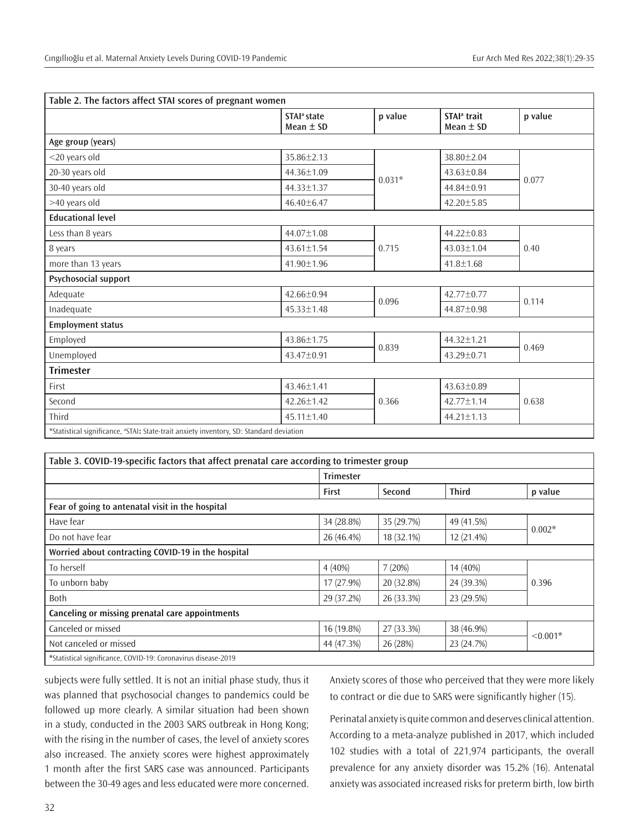|                                                                                                     | STAI <sup>a</sup> state<br>Mean $\pm$ SD | p value  | STAI <sup>a</sup> trait<br>Mean $\pm$ SD | p value |
|-----------------------------------------------------------------------------------------------------|------------------------------------------|----------|------------------------------------------|---------|
| Age group (years)                                                                                   |                                          |          |                                          |         |
| <20 years old                                                                                       | 35.86±2.13                               | $0.031*$ | 38.80±2.04                               |         |
| 20-30 years old                                                                                     | 44.36±1.09                               |          | $43.63 \pm 0.84$                         |         |
| 30-40 years old                                                                                     | 44.33±1.37                               |          | $44.84 \pm 0.91$                         | 0.077   |
| >40 years old                                                                                       | $46.40 \pm 6.47$                         |          | $42.20 \pm 5.85$                         |         |
| <b>Educational level</b>                                                                            |                                          |          |                                          |         |
| Less than 8 years                                                                                   | 44.07±1.08                               |          | $44.22 \pm 0.83$                         |         |
| 8 years                                                                                             | $43.61 \pm 1.54$                         | 0.715    | $43.03 \pm 1.04$                         | 0.40    |
| more than 13 years                                                                                  | 41.90±1.96                               |          | $41.8 \pm 1.68$                          |         |
| Psychosocial support                                                                                |                                          |          |                                          |         |
| Adequate                                                                                            | 42.66±0.94                               | 0.096    | $42.77 \pm 0.77$                         | 0.114   |
| Inadequate                                                                                          | $45.33 \pm 1.48$                         |          | 44.87±0.98                               |         |
| <b>Employment status</b>                                                                            |                                          |          |                                          |         |
| Employed                                                                                            | 43.86±1.75                               | 0.839    | 44.32±1.21                               | 0.469   |
| Unemployed                                                                                          | $43.47 \pm 0.91$                         |          | $43.29 \pm 0.71$                         |         |
| <b>Trimester</b>                                                                                    |                                          |          |                                          |         |
| First                                                                                               | 43.46±1.41                               | 0.366    | 43.63±0.89                               |         |
| Second                                                                                              | $42.26 \pm 1.42$                         |          | $42.77 + 1.14$                           | 0.638   |
| Third                                                                                               | 45.11±1.40                               |          | 44.21±1.13                               |         |
| *Statistical significance, <sup>a</sup> STAI: State-trait anxiety inventory, SD: Standard deviation |                                          |          |                                          |         |

| Table 3. COVID-19-specific factors that affect prenatal care according to trimester group |                  |            |              |            |  |  |
|-------------------------------------------------------------------------------------------|------------------|------------|--------------|------------|--|--|
|                                                                                           | <b>Trimester</b> |            |              |            |  |  |
|                                                                                           | <b>First</b>     | Second     | <b>Third</b> | p value    |  |  |
| Fear of going to antenatal visit in the hospital                                          |                  |            |              |            |  |  |
| Have fear                                                                                 | 34 (28.8%)       | 35 (29.7%) | 49 (41.5%)   | $0.002*$   |  |  |
| Do not have fear                                                                          | 26 (46.4%)       | 18 (32.1%) | 12 (21.4%)   |            |  |  |
| Worried about contracting COVID-19 in the hospital                                        |                  |            |              |            |  |  |
| To herself                                                                                | $4(40\%)$        | 7 (20%)    | 14 (40%)     | 0.396      |  |  |
| To unborn baby                                                                            | 17 (27.9%)       | 20 (32.8%) | 24 (39.3%)   |            |  |  |
| <b>Both</b>                                                                               | 29 (37.2%)       | 26 (33.3%) | 23 (29.5%)   |            |  |  |
| Canceling or missing prenatal care appointments                                           |                  |            |              |            |  |  |
| Canceled or missed                                                                        | 16 (19.8%)       | 27 (33.3%) | 38 (46.9%)   | $< 0.001*$ |  |  |
| Not canceled or missed                                                                    | 44 (47.3%)       | 26 (28%)   | 23 (24.7%)   |            |  |  |
| *Statistical significance, COVID-19: Coronavirus disease-2019                             |                  |            |              |            |  |  |

subjects were fully settled. It is not an initial phase study, thus it was planned that psychosocial changes to pandemics could be followed up more clearly. A similar situation had been shown in a study, conducted in the 2003 SARS outbreak in Hong Kong; with the rising in the number of cases, the level of anxiety scores also increased. The anxiety scores were highest approximately 1 month after the first SARS case was announced. Participants between the 30-49 ages and less educated were more concerned.

Anxiety scores of those who perceived that they were more likely to contract or die due to SARS were significantly higher (15).

Perinatal anxiety is quite common and deserves clinical attention. According to a meta-analyze published in 2017, which included 102 studies with a total of 221,974 participants, the overall prevalence for any anxiety disorder was 15.2% (16). Antenatal anxiety was associated increased risks for preterm birth, low birth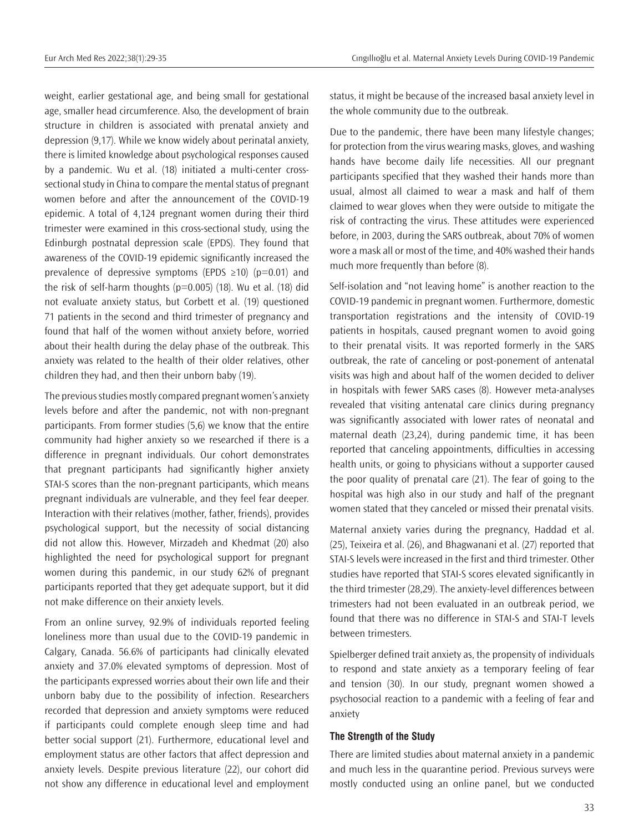weight, earlier gestational age, and being small for gestational age, smaller head circumference. Also, the development of brain structure in children is associated with prenatal anxiety and depression (9,17). While we know widely about perinatal anxiety, there is limited knowledge about psychological responses caused by a pandemic. Wu et al. (18) initiated a multi-center crosssectional study in China to compare the mental status of pregnant women before and after the announcement of the COVID-19 epidemic. A total of 4,124 pregnant women during their third trimester were examined in this cross-sectional study, using the Edinburgh postnatal depression scale (EPDS). They found that awareness of the COVID-19 epidemic significantly increased the prevalence of depressive symptoms (EPDS  $\geq$ 10) (p=0.01) and the risk of self-harm thoughts ( $p=0.005$ ) (18). Wu et al. (18) did not evaluate anxiety status, but Corbett et al. (19) questioned 71 patients in the second and third trimester of pregnancy and found that half of the women without anxiety before, worried about their health during the delay phase of the outbreak. This anxiety was related to the health of their older relatives, other children they had, and then their unborn baby (19).

The previous studies mostly compared pregnant women's anxiety levels before and after the pandemic, not with non-pregnant participants. From former studies (5,6) we know that the entire community had higher anxiety so we researched if there is a difference in pregnant individuals. Our cohort demonstrates that pregnant participants had significantly higher anxiety STAI-S scores than the non-pregnant participants, which means pregnant individuals are vulnerable, and they feel fear deeper. Interaction with their relatives (mother, father, friends), provides psychological support, but the necessity of social distancing did not allow this. However, Mirzadeh and Khedmat (20) also highlighted the need for psychological support for pregnant women during this pandemic, in our study 62% of pregnant participants reported that they get adequate support, but it did not make difference on their anxiety levels.

From an online survey, 92.9% of individuals reported feeling loneliness more than usual due to the COVID-19 pandemic in Calgary, Canada. 56.6% of participants had clinically elevated anxiety and 37.0% elevated symptoms of depression. Most of the participants expressed worries about their own life and their unborn baby due to the possibility of infection. Researchers recorded that depression and anxiety symptoms were reduced if participants could complete enough sleep time and had better social support (21). Furthermore, educational level and employment status are other factors that affect depression and anxiety levels. Despite previous literature (22), our cohort did not show any difference in educational level and employment

status, it might be because of the increased basal anxiety level in the whole community due to the outbreak.

Due to the pandemic, there have been many lifestyle changes; for protection from the virus wearing masks, gloves, and washing hands have become daily life necessities. All our pregnant participants specified that they washed their hands more than usual, almost all claimed to wear a mask and half of them claimed to wear gloves when they were outside to mitigate the risk of contracting the virus. These attitudes were experienced before, in 2003, during the SARS outbreak, about 70% of women wore a mask all or most of the time, and 40% washed their hands much more frequently than before (8).

Self-isolation and "not leaving home" is another reaction to the COVID-19 pandemic in pregnant women. Furthermore, domestic transportation registrations and the intensity of COVID-19 patients in hospitals, caused pregnant women to avoid going to their prenatal visits. It was reported formerly in the SARS outbreak, the rate of canceling or post-ponement of antenatal visits was high and about half of the women decided to deliver in hospitals with fewer SARS cases (8). However meta-analyses revealed that visiting antenatal care clinics during pregnancy was significantly associated with lower rates of neonatal and maternal death (23,24), during pandemic time, it has been reported that canceling appointments, difficulties in accessing health units, or going to physicians without a supporter caused the poor quality of prenatal care (21). The fear of going to the hospital was high also in our study and half of the pregnant women stated that they canceled or missed their prenatal visits.

Maternal anxiety varies during the pregnancy, Haddad et al. (25), Teixeira et al. (26), and Bhagwanani et al. (27) reported that STAI-S levels were increased in the first and third trimester. Other studies have reported that STAI-S scores elevated significantly in the third trimester (28,29). The anxiety-level differences between trimesters had not been evaluated in an outbreak period, we found that there was no difference in STAI-S and STAI-T levels between trimesters.

Spielberger defined trait anxiety as, the propensity of individuals to respond and state anxiety as a temporary feeling of fear and tension (30). In our study, pregnant women showed a psychosocial reaction to a pandemic with a feeling of fear and anxiety

#### **The Strength of the Study**

There are limited studies about maternal anxiety in a pandemic and much less in the quarantine period. Previous surveys were mostly conducted using an online panel, but we conducted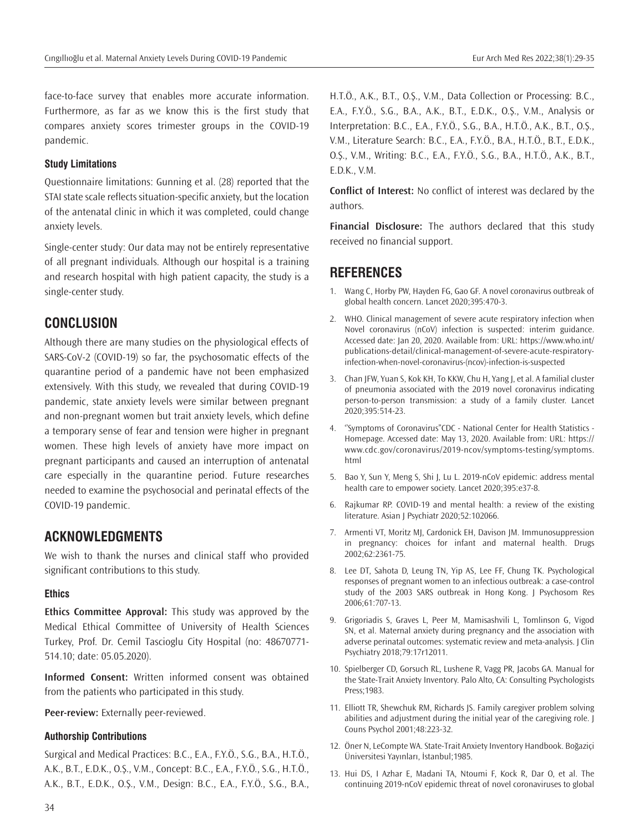face-to-face survey that enables more accurate information. Furthermore, as far as we know this is the first study that compares anxiety scores trimester groups in the COVID-19 pandemic.

#### **Study Limitations**

Questionnaire limitations: Gunning et al. (28) reported that the STAI state scale reflects situation-specific anxiety, but the location of the antenatal clinic in which it was completed, could change anxiety levels.

Single-center study: Our data may not be entirely representative of all pregnant individuals. Although our hospital is a training and research hospital with high patient capacity, the study is a single-center study.

# **CONCLUSION**

Although there are many studies on the physiological effects of SARS-CoV-2 (COVID-19) so far, the psychosomatic effects of the quarantine period of a pandemic have not been emphasized extensively. With this study, we revealed that during COVID-19 pandemic, state anxiety levels were similar between pregnant and non-pregnant women but trait anxiety levels, which define a temporary sense of fear and tension were higher in pregnant women. These high levels of anxiety have more impact on pregnant participants and caused an interruption of antenatal care especially in the quarantine period. Future researches needed to examine the psychosocial and perinatal effects of the COVID-19 pandemic.

# **ACKNOWLEDGMENTS**

We wish to thank the nurses and clinical staff who provided significant contributions to this study.

#### **Ethics**

**Ethics Committee Approval:** This study was approved by the Medical Ethical Committee of University of Health Sciences Turkey, Prof. Dr. Cemil Tascioglu City Hospital (no: 48670771- 514.10; date: 05.05.2020).

**Informed Consent:** Written informed consent was obtained from the patients who participated in this study.

**Peer-review:** Externally peer-reviewed.

#### **Authorship Contributions**

Surgical and Medical Practices: B.C., E.A., F.Y.Ö., S.G., B.A., H.T.Ö., A.K., B.T., E.D.K., O.Ş., V.M., Concept: B.C., E.A., F.Y.Ö., S.G., H.T.Ö., A.K., B.T., E.D.K., O.Ş., V.M., Design: B.C., E.A., F.Y.Ö., S.G., B.A.,

H.T.Ö., A.K., B.T., O.Ş., V.M., Data Collection or Processing: B.C., E.A., F.Y.Ö., S.G., B.A., A.K., B.T., E.D.K., O.Ş., V.M., Analysis or Interpretation: B.C., E.A., F.Y.Ö., S.G., B.A., H.T.Ö., A.K., B.T., O.Ş., V.M., Literature Search: B.C., E.A., F.Y.Ö., B.A., H.T.Ö., B.T., E.D.K., O.Ş., V.M., Writing: B.C., E.A., F.Y.Ö., S.G., B.A., H.T.Ö., A.K., B.T., E.D.K., V.M.

**Conflict of Interest:** No conflict of interest was declared by the authors.

**Financial Disclosure:** The authors declared that this study received no financial support.

# **REFERENCES**

- 1. Wang C, Horby PW, Hayden FG, Gao GF. A novel coronavirus outbreak of global health concern. Lancet 2020;395:470-3.
- 2. WHO. Clinical management of severe acute respiratory infection when Novel coronavirus (nCoV) infection is suspected: interim guidance. Accessed date: Jan 20, 2020. Available from: URL: https://www.who.int/ publications‐detail/clinical‐management‐of‐severe‐acute‐respiratory‐ infection‐when‐novel‐coronavirus‐(ncov)‐infection‐is‐suspected
- 3. Chan JFW, Yuan S, Kok KH, To KKW, Chu H, Yang J, et al. A familial cluster of pneumonia associated with the 2019 novel coronavirus indicating person-to-person transmission: a study of a family cluster. Lancet 2020;395:514-23.
- 4. ''Symptoms of Coronavirus"CDC National Center for Health Statistics Homepage. Accessed date: May 13, 2020. Available from: URL: https:// www.cdc.gov/coronavirus/2019-ncov/symptoms-testing/symptoms. html
- 5. Bao Y, Sun Y, Meng S, Shi J, Lu L. 2019-nCoV epidemic: address mental health care to empower society. Lancet 2020;395:e37-8.
- 6. Rajkumar RP. COVID-19 and mental health: a review of the existing literature. Asian | Psychiatr 2020;52:102066.
- 7. Armenti VT, Moritz MJ, Cardonick EH, Davison JM. Immunosuppression in pregnancy: choices for infant and maternal health. Drugs 2002;62:2361-75.
- 8. Lee DT, Sahota D, Leung TN, Yip AS, Lee FF, Chung TK. Psychological responses of pregnant women to an infectious outbreak: a case-control study of the 2003 SARS outbreak in Hong Kong. J Psychosom Res 2006;61:707-13.
- 9. Grigoriadis S, Graves L, Peer M, Mamisashvili L, Tomlinson G, Vigod SN, et al. Maternal anxiety during pregnancy and the association with adverse perinatal outcomes: systematic review and meta-analysis. J Clin Psychiatry 2018;79:17r12011.
- 10. Spielberger CD, Gorsuch RL, Lushene R, Vagg PR, Jacobs GA. Manual for the State-Trait Anxiety Inventory. Palo Alto, CA: Consulting Psychologists Press;1983.
- 11. Elliott TR, Shewchuk RM, Richards JS. Family caregiver problem solving abilities and adjustment during the initial year of the caregiving role. J Couns Psychol 2001;48:223-32.
- 12. Öner N, LeCompte WA. State-Trait Anxiety Inventory Handbook. Boğaziçi Üniversitesi Yayınları, İstanbul;1985.
- 13. Hui DS, I Azhar E, Madani TA, Ntoumi F, Kock R, Dar O, et al. The continuing 2019-nCoV epidemic threat of novel coronaviruses to global